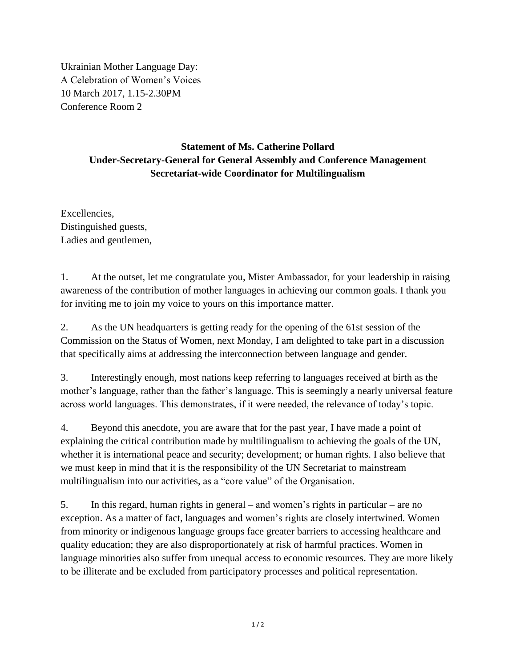Ukrainian Mother Language Day: A Celebration of Women's Voices 10 March 2017, 1.15-2.30PM Conference Room 2

## **Statement of Ms. Catherine Pollard Under-Secretary-General for General Assembly and Conference Management Secretariat-wide Coordinator for Multilingualism**

Excellencies, Distinguished guests, Ladies and gentlemen,

1. At the outset, let me congratulate you, Mister Ambassador, for your leadership in raising awareness of the contribution of mother languages in achieving our common goals. I thank you for inviting me to join my voice to yours on this importance matter.

2. As the UN headquarters is getting ready for the opening of the 61st session of the Commission on the Status of Women, next Monday, I am delighted to take part in a discussion that specifically aims at addressing the interconnection between language and gender.

3. Interestingly enough, most nations keep referring to languages received at birth as the mother's language, rather than the father's language. This is seemingly a nearly universal feature across world languages. This demonstrates, if it were needed, the relevance of today's topic.

4. Beyond this anecdote, you are aware that for the past year, I have made a point of explaining the critical contribution made by multilingualism to achieving the goals of the UN, whether it is international peace and security; development; or human rights. I also believe that we must keep in mind that it is the responsibility of the UN Secretariat to mainstream multilingualism into our activities, as a "core value" of the Organisation.

5. In this regard, human rights in general – and women's rights in particular – are no exception. As a matter of fact, languages and women's rights are closely intertwined. Women from minority or indigenous language groups face greater barriers to accessing healthcare and quality education; they are also disproportionately at risk of harmful practices. Women in language minorities also suffer from unequal access to economic resources. They are more likely to be illiterate and be excluded from participatory processes and political representation.